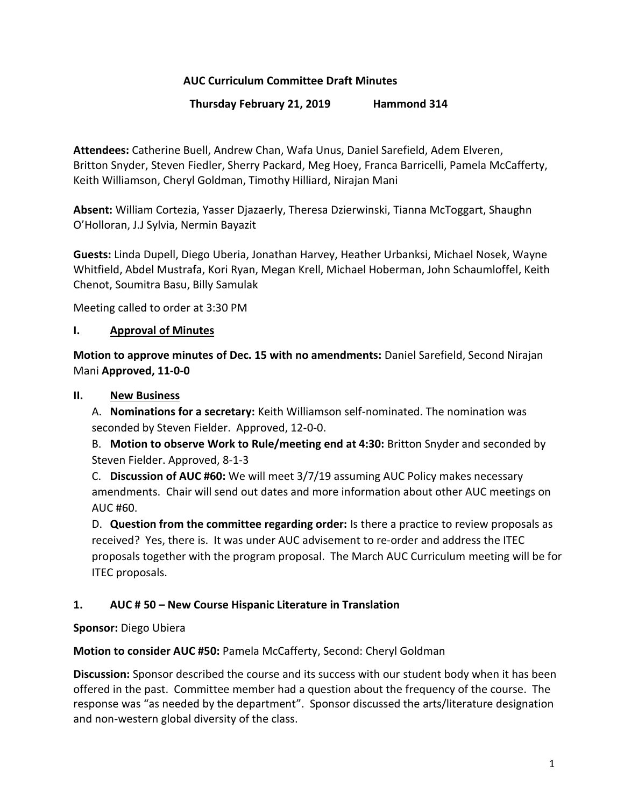## **AUC Curriculum Committee Draft Minutes**

## **Thursday February 21, 2019 Hammond 314**

**Attendees:** Catherine Buell, Andrew Chan, Wafa Unus, Daniel Sarefield, Adem Elveren, Britton Snyder, Steven Fiedler, Sherry Packard, Meg Hoey, Franca Barricelli, Pamela McCafferty, Keith Williamson, Cheryl Goldman, Timothy Hilliard, Nirajan Mani

**Absent:** William Cortezia, Yasser Djazaerly, Theresa Dzierwinski, Tianna McToggart, Shaughn O'Holloran, J.J Sylvia, Nermin Bayazit

**Guests:** Linda Dupell, Diego Uberia, Jonathan Harvey, Heather Urbanksi, Michael Nosek, Wayne Whitfield, Abdel Mustrafa, Kori Ryan, Megan Krell, Michael Hoberman, John Schaumloffel, Keith Chenot, Soumitra Basu, Billy Samulak

Meeting called to order at 3:30 PM

## **I. Approval of Minutes**

**Motion to approve minutes of Dec. 15 with no amendments:** Daniel Sarefield, Second Nirajan Mani **Approved, 11-0-0**

### **II. New Business**

A. **Nominations for a secretary:** Keith Williamson self-nominated. The nomination was seconded by Steven Fielder. Approved, 12-0-0.

B. **Motion to observe Work to Rule/meeting end at 4:30:** Britton Snyder and seconded by Steven Fielder. Approved, 8-1-3

C. **Discussion of AUC #60:** We will meet 3/7/19 assuming AUC Policy makes necessary amendments. Chair will send out dates and more information about other AUC meetings on AUC #60.

D. **Question from the committee regarding order:** Is there a practice to review proposals as received? Yes, there is. It was under AUC advisement to re-order and address the ITEC proposals together with the program proposal. The March AUC Curriculum meeting will be for ITEC proposals.

## **1. AUC # 50 – New Course Hispanic Literature in Translation**

**Sponsor:** Diego Ubiera

**Motion to consider AUC #50:** Pamela McCafferty, Second: Cheryl Goldman

**Discussion:** Sponsor described the course and its success with our student body when it has been offered in the past. Committee member had a question about the frequency of the course. The response was "as needed by the department". Sponsor discussed the arts/literature designation and non-western global diversity of the class.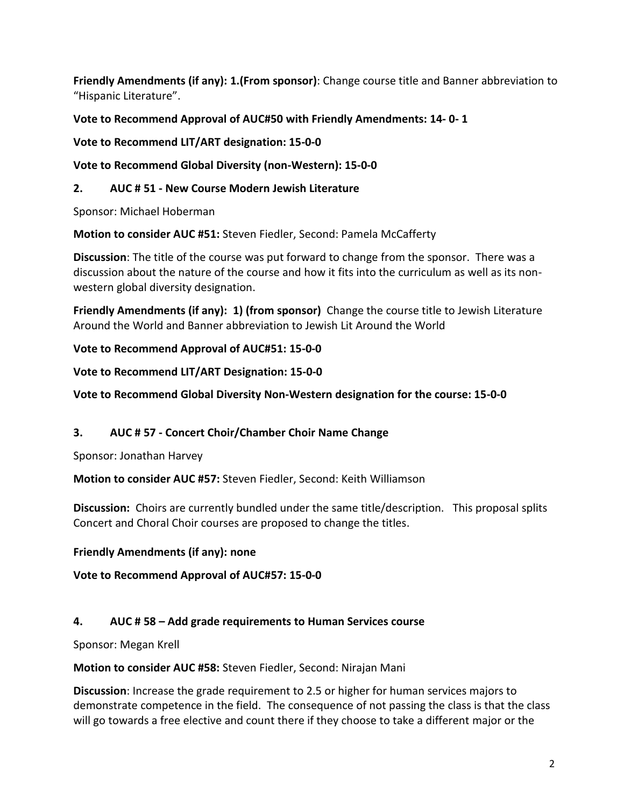**Friendly Amendments (if any): 1.(From sponsor)**: Change course title and Banner abbreviation to "Hispanic Literature".

# **Vote to Recommend Approval of AUC#50 with Friendly Amendments: 14- 0- 1**

**Vote to Recommend LIT/ART designation: 15-0-0**

**Vote to Recommend Global Diversity (non-Western): 15-0-0**

# **2. AUC # 51 - New Course Modern Jewish Literature**

Sponsor: Michael Hoberman

**Motion to consider AUC #51:** Steven Fiedler, Second: Pamela McCafferty

**Discussion**: The title of the course was put forward to change from the sponsor. There was a discussion about the nature of the course and how it fits into the curriculum as well as its nonwestern global diversity designation.

**Friendly Amendments (if any): 1) (from sponsor)** Change the course title to Jewish Literature Around the World and Banner abbreviation to Jewish Lit Around the World

**Vote to Recommend Approval of AUC#51: 15-0-0**

**Vote to Recommend LIT/ART Designation: 15-0-0**

# **Vote to Recommend Global Diversity Non-Western designation for the course: 15-0-0**

# **3. AUC # 57 - Concert Choir/Chamber Choir Name Change**

Sponsor: Jonathan Harvey

**Motion to consider AUC #57:** Steven Fiedler, Second: Keith Williamson

**Discussion:** Choirs are currently bundled under the same title/description. This proposal splits Concert and Choral Choir courses are proposed to change the titles.

## **Friendly Amendments (if any): none**

**Vote to Recommend Approval of AUC#57: 15-0-0**

## **4. AUC # 58 – Add grade requirements to Human Services course**

Sponsor: Megan Krell

**Motion to consider AUC #58:** Steven Fiedler, Second: Nirajan Mani

**Discussion**: Increase the grade requirement to 2.5 or higher for human services majors to demonstrate competence in the field. The consequence of not passing the class is that the class will go towards a free elective and count there if they choose to take a different major or the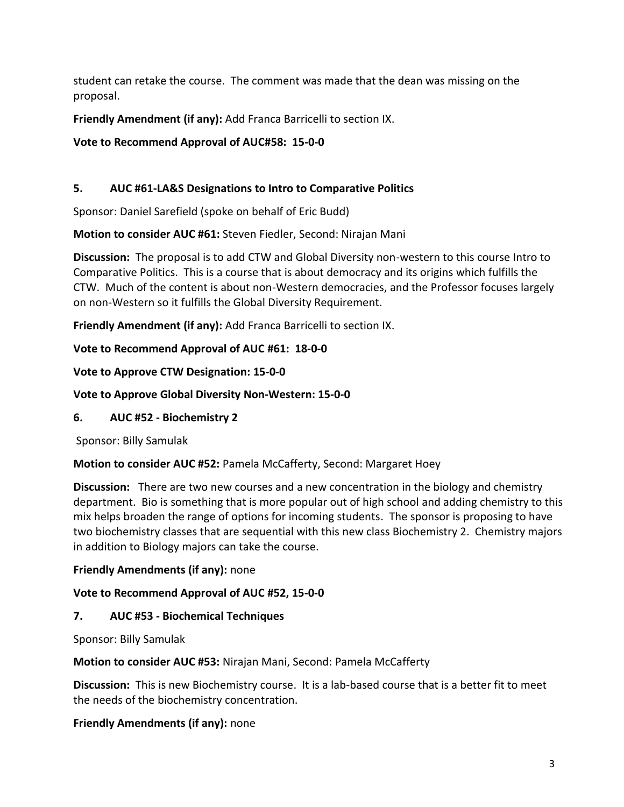student can retake the course. The comment was made that the dean was missing on the proposal.

**Friendly Amendment (if any):** Add Franca Barricelli to section IX.

**Vote to Recommend Approval of AUC#58: 15-0-0**

# **5. AUC #61-LA&S Designations to Intro to Comparative Politics**

Sponsor: Daniel Sarefield (spoke on behalf of Eric Budd)

**Motion to consider AUC #61:** Steven Fiedler, Second: Nirajan Mani

**Discussion:** The proposal is to add CTW and Global Diversity non-western to this course Intro to Comparative Politics. This is a course that is about democracy and its origins which fulfills the CTW. Much of the content is about non-Western democracies, and the Professor focuses largely on non-Western so it fulfills the Global Diversity Requirement.

**Friendly Amendment (if any):** Add Franca Barricelli to section IX.

# **Vote to Recommend Approval of AUC #61: 18-0-0**

# **Vote to Approve CTW Designation: 15-0-0**

# **Vote to Approve Global Diversity Non-Western: 15-0-0**

# **6. AUC #52 - Biochemistry 2**

Sponsor: Billy Samulak

## **Motion to consider AUC #52:** Pamela McCafferty, Second: Margaret Hoey

**Discussion:** There are two new courses and a new concentration in the biology and chemistry department. Bio is something that is more popular out of high school and adding chemistry to this mix helps broaden the range of options for incoming students. The sponsor is proposing to have two biochemistry classes that are sequential with this new class Biochemistry 2. Chemistry majors in addition to Biology majors can take the course.

## **Friendly Amendments (if any):** none

# **Vote to Recommend Approval of AUC #52, 15-0-0**

# **7. AUC #53 - Biochemical Techniques**

Sponsor: Billy Samulak

**Motion to consider AUC #53:** Nirajan Mani, Second: Pamela McCafferty

**Discussion:** This is new Biochemistry course. It is a lab-based course that is a better fit to meet the needs of the biochemistry concentration.

## **Friendly Amendments (if any):** none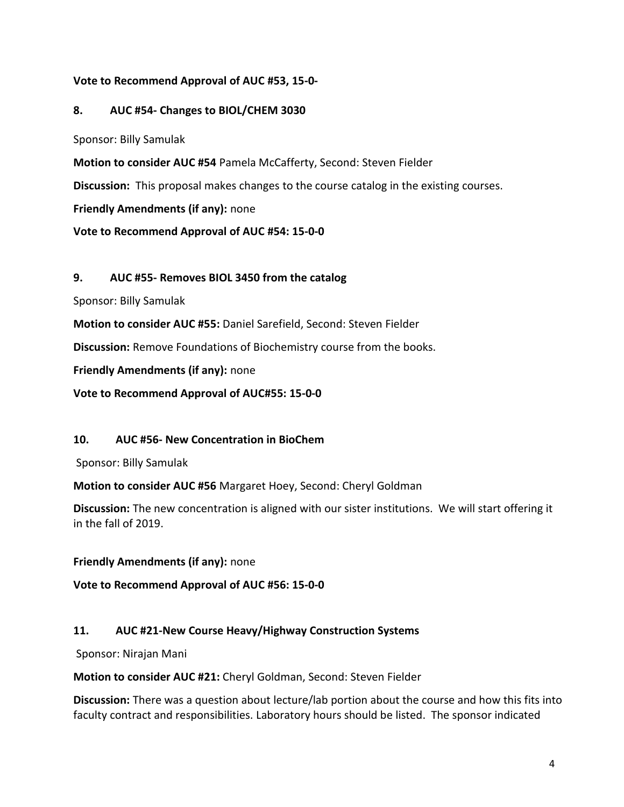## **Vote to Recommend Approval of AUC #53, 15-0-**

### **8. AUC #54- Changes to BIOL/CHEM 3030**

Sponsor: Billy Samulak

**Motion to consider AUC #54** Pamela McCafferty, Second: Steven Fielder

**Discussion:** This proposal makes changes to the course catalog in the existing courses.

**Friendly Amendments (if any):** none

**Vote to Recommend Approval of AUC #54: 15-0-0**

#### **9. AUC #55- Removes BIOL 3450 from the catalog**

Sponsor: Billy Samulak

**Motion to consider AUC #55:** Daniel Sarefield, Second: Steven Fielder

**Discussion:** Remove Foundations of Biochemistry course from the books.

**Friendly Amendments (if any):** none

**Vote to Recommend Approval of AUC#55: 15-0-0**

#### **10. AUC #56- New Concentration in BioChem**

Sponsor: Billy Samulak

**Motion to consider AUC #56** Margaret Hoey, Second: Cheryl Goldman

**Discussion:** The new concentration is aligned with our sister institutions. We will start offering it in the fall of 2019.

#### **Friendly Amendments (if any):** none

**Vote to Recommend Approval of AUC #56: 15-0-0**

#### **11. AUC #21-New Course Heavy/Highway Construction Systems**

Sponsor: Nirajan Mani

**Motion to consider AUC #21:** Cheryl Goldman, Second: Steven Fielder

**Discussion:** There was a question about lecture/lab portion about the course and how this fits into faculty contract and responsibilities. Laboratory hours should be listed. The sponsor indicated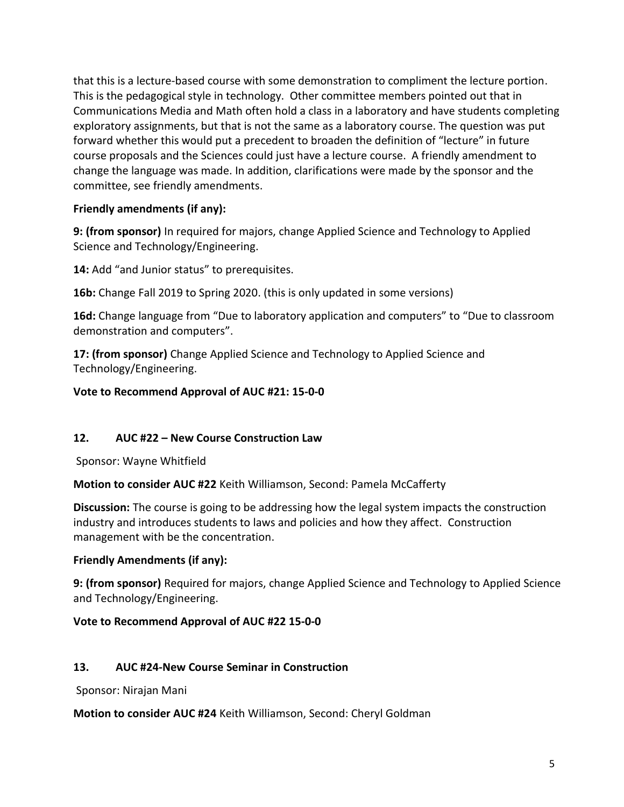that this is a lecture-based course with some demonstration to compliment the lecture portion. This is the pedagogical style in technology. Other committee members pointed out that in Communications Media and Math often hold a class in a laboratory and have students completing exploratory assignments, but that is not the same as a laboratory course. The question was put forward whether this would put a precedent to broaden the definition of "lecture" in future course proposals and the Sciences could just have a lecture course. A friendly amendment to change the language was made. In addition, clarifications were made by the sponsor and the committee, see friendly amendments.

# **Friendly amendments (if any):**

**9: (from sponsor)** In required for majors, change Applied Science and Technology to Applied Science and Technology/Engineering.

**14:** Add "and Junior status" to prerequisites.

**16b:** Change Fall 2019 to Spring 2020. (this is only updated in some versions)

**16d:** Change language from "Due to laboratory application and computers" to "Due to classroom demonstration and computers".

**17: (from sponsor)** Change Applied Science and Technology to Applied Science and Technology/Engineering.

# **Vote to Recommend Approval of AUC #21: 15-0-0**

## **12. AUC #22 – New Course Construction Law**

Sponsor: Wayne Whitfield

**Motion to consider AUC #22** Keith Williamson, Second: Pamela McCafferty

**Discussion:** The course is going to be addressing how the legal system impacts the construction industry and introduces students to laws and policies and how they affect. Construction management with be the concentration.

## **Friendly Amendments (if any):**

**9: (from sponsor)** Required for majors, change Applied Science and Technology to Applied Science and Technology/Engineering.

## **Vote to Recommend Approval of AUC #22 15-0-0**

## **13. AUC #24-New Course Seminar in Construction**

Sponsor: Nirajan Mani

**Motion to consider AUC #24** Keith Williamson, Second: Cheryl Goldman